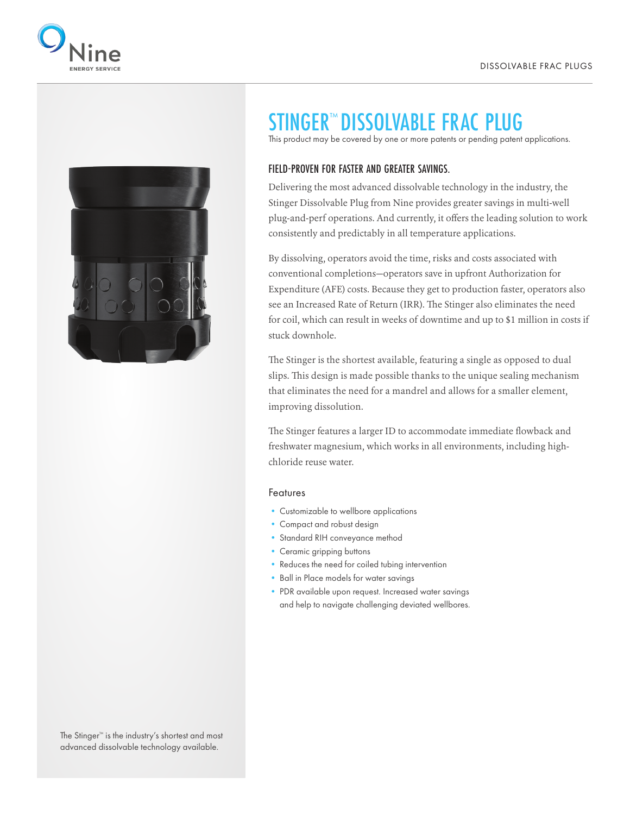



## STINGER™ DISSOLVABLE FRAC PLUG

This product may be covered by one or more patents or pending patent applications.

## FIELD-PROVEN FOR FASTER AND GREATER SAVINGS.

Delivering the most advanced dissolvable technology in the industry, the Stinger Dissolvable Plug from Nine provides greater savings in multi-well plug-and-perf operations. And currently, it offers the leading solution to work consistently and predictably in all temperature applications.

By dissolving, operators avoid the time, risks and costs associated with conventional completions—operators save in upfront Authorization for Expenditure (AFE) costs. Because they get to production faster, operators also see an Increased Rate of Return (IRR). The Stinger also eliminates the need for coil, which can result in weeks of downtime and up to \$1 million in costs if stuck downhole.

The Stinger is the shortest available, featuring a single as opposed to dual slips. This design is made possible thanks to the unique sealing mechanism that eliminates the need for a mandrel and allows for a smaller element, improving dissolution.

The Stinger features a larger ID to accommodate immediate flowback and freshwater magnesium, which works in all environments, including highchloride reuse water.

## Features

- Customizable to wellbore applications
- Compact and robust design
- Standard RIH conveyance method
- Ceramic gripping buttons
- Reduces the need for coiled tubing intervention
- Ball in Place models for water savings
- PDR available upon request. Increased water savings and help to navigate challenging deviated wellbores.

The Stinger™ is the industry's shortest and most advanced dissolvable technology available.